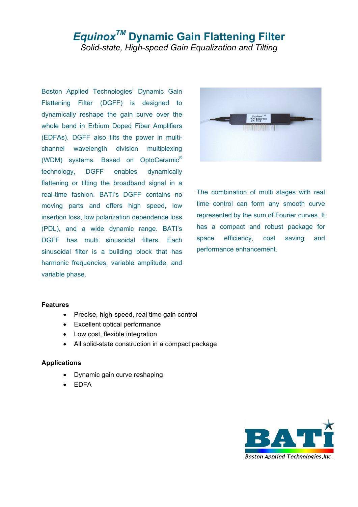# *EquinoxTM* **Dynamic Gain Flattening Filter**  *Solid-state, High-speed Gain Equalization and Tilting*

Boston Applied Technologies' Dynamic Gain Flattening Filter (DGFF) is designed to dynamically reshape the gain curve over the whole band in Erbium Doped Fiber Amplifiers (EDFAs). DGFF also tilts the power in multichannel wavelength division multiplexing (WDM) systems. Based on OptoCeramic® technology, DGFF enables dynamically flattening or tilting the broadband signal in a real-time fashion. BATI's DGFF contains no moving parts and offers high speed, low insertion loss, low polarization dependence loss (PDL), and a wide dynamic range. BATI's DGFF has multi sinusoidal filters. Each sinusoidal filter is a building block that has harmonic frequencies, variable amplitude, and variable phase.



The combination of multi stages with real time control can form any smooth curve represented by the sum of Fourier curves. It has a compact and robust package for space efficiency, cost saving and performance enhancement.

#### **Features**

- Precise, high-speed, real time gain control
- Excellent optical performance
- Low cost, flexible integration
- All solid-state construction in a compact package

#### **Applications**

- Dynamic gain curve reshaping
- EDFA